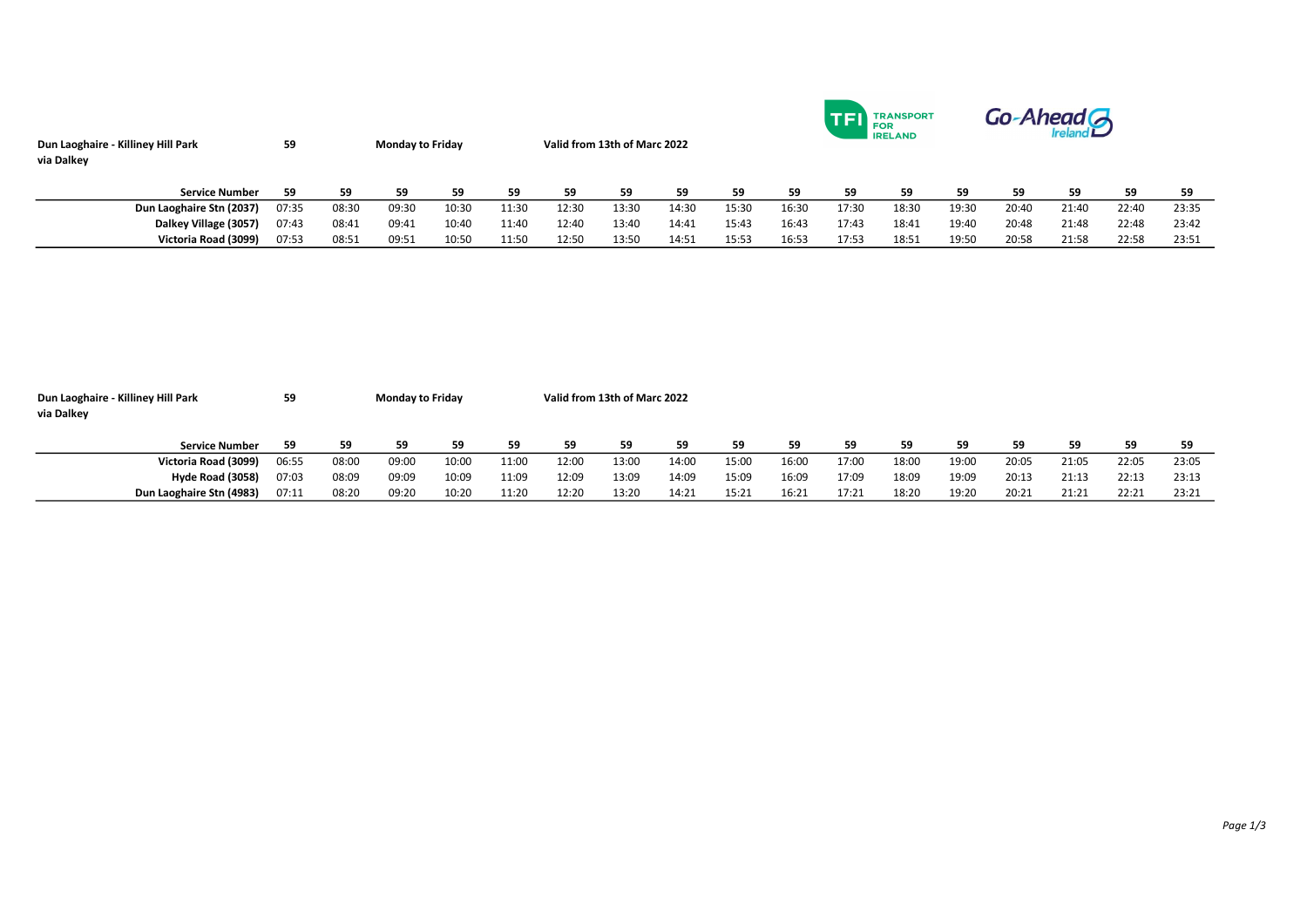| Dun Laoghaire - Killiney Hill Park<br>via Dalkey | 59    |       | <b>Monday to Friday</b> |       |       | Valid from 13th of Marc 2022 |       |       |       | TRANSPORT<br><b>TEL</b> FOR<br><b>IRELAND</b> |       |       |       | Go-Ahead A |       |       |       |  |
|--------------------------------------------------|-------|-------|-------------------------|-------|-------|------------------------------|-------|-------|-------|-----------------------------------------------|-------|-------|-------|------------|-------|-------|-------|--|
| <b>Service Number</b>                            | 59    | 59    | 59                      | 59    | 59    | 59                           | 59    | 59    | 59    | 59                                            | 59    | 59    | 59    | 59         | 59    | 59    | 59    |  |
| Dun Laoghaire Stn (2037)                         | 07:35 | 08:30 | 09:30                   | 10:30 | 11:30 | 12:30                        | 13:30 | 14:30 | 15:30 | 16:30                                         | 17:30 | 18:30 | 19:30 | 20:40      | 21:40 | 22:40 | 23:35 |  |
| Dalkey Village (3057)                            | 07:43 | 08:41 | 09:41                   | 10:40 | 11:40 | 12:40                        | 13:40 | 14:41 | 15:43 | 16:43                                         | 17:43 | 18:41 | 19:40 | 20:48      | 21:48 | 22:48 | 23:42 |  |
| Victoria Road (3099)                             | 07:53 | 08:51 | 09:51                   | 10:50 | 11:50 | 12:50                        | 13:50 | 14:51 | 15:53 | 16:53                                         | 17:53 | 18:51 | 19:50 | 20:58      | 21:58 | 22:58 | 23:51 |  |

| Dun Laoghaire - Killiney Hill Park | 59    | <b>Monday to Friday</b> |       |       |       |       | Valid from 13th of Marc 2022 |       |       |       |       |       |       |       |       |       |       |  |
|------------------------------------|-------|-------------------------|-------|-------|-------|-------|------------------------------|-------|-------|-------|-------|-------|-------|-------|-------|-------|-------|--|
| via Dalkey                         |       |                         |       |       |       |       |                              |       |       |       |       |       |       |       |       |       |       |  |
|                                    |       |                         |       |       |       |       |                              |       |       |       |       |       |       |       |       |       |       |  |
| <b>Service Number</b>              | 59    | 59                      | 59    | 59    | 59    | 59    | 59                           | 59    | 59    | 59    | 59    | 59    | 59    | 59    | 59    | 59    | 59    |  |
| Victoria Road (3099)               | 06:55 | 08:00                   | 09:00 | 10:00 | 11:00 | 12:00 | 13:00                        | 14:00 | 15:00 | 16:00 | 17:00 | 18:00 | 19:00 | 20:05 | 21:05 | 22:05 | 23:05 |  |
| Hyde Road (3058)                   | 07:03 | 08:09                   | 09:09 | 10:09 | 11:09 | 12:09 | 13:09                        | 14:09 | 15:09 | 16:09 | 17:09 | 18:09 | 19:09 | 20:13 | 21:13 | 22:13 | 23:13 |  |
| Dun Laoghaire Stn (4983)           | 07:11 | 08:20                   | 09:20 | 10:20 | 11:20 | 12:20 | 13:20                        | 14:21 | 15:21 | 16:21 | 17:21 | 18:20 | 19:20 | 20:21 | 21:21 | 22:21 | 23:21 |  |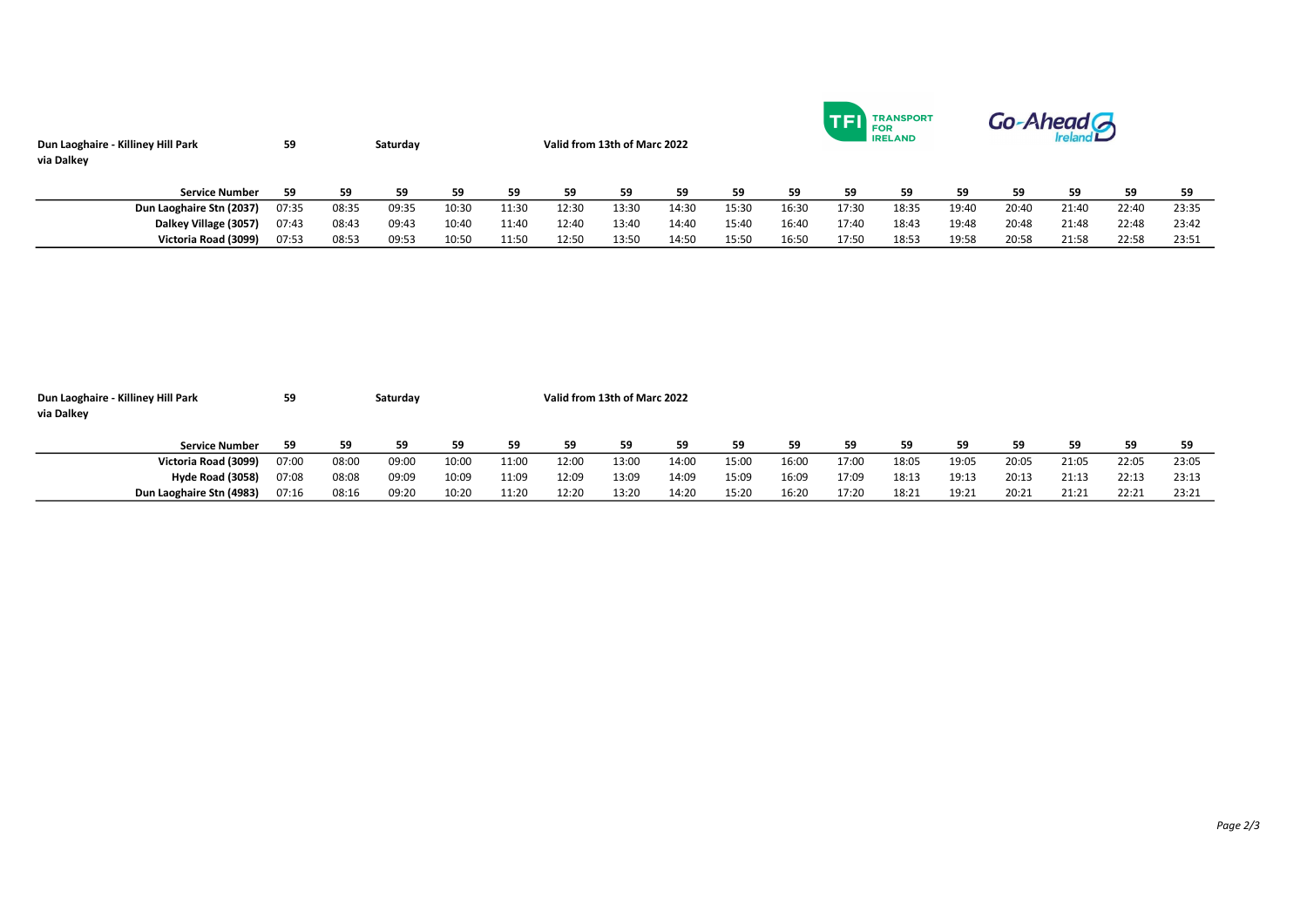| Dun Laoghaire - Killiney Hill Park<br>via Dalkey | 59    |       | Saturday |       |       | Valid from 13th of Marc 2022 |       |       |       | <b>TRANSPORT</b><br><b>LI</b> FOR<br><b>IRELAND</b> |       |       |       | Go-Ahead G |       |       |       |  |  |
|--------------------------------------------------|-------|-------|----------|-------|-------|------------------------------|-------|-------|-------|-----------------------------------------------------|-------|-------|-------|------------|-------|-------|-------|--|--|
| <b>Service Number</b>                            | 59    | 59    | 59       | 59    | 59    | 59                           | 59    | 59    | 59    | 59                                                  | 59    | 59    | 59    | 59         | 59    | 59    | 59    |  |  |
| Dun Laoghaire Stn (2037)                         | 07:35 | 08:35 | 09:35    | 10:30 | 11:30 | 12:30                        | 13:30 | 14:30 | 15:30 | 16:30                                               | 17:30 | 18:35 | 19:40 | 20:40      | 21:40 | 22:40 | 23:35 |  |  |
| Dalkey Village (3057)                            | 07:43 | 08:43 | 09:43    | 10:40 | 11:40 | 12:40                        | 13:40 | 14:40 | 15:40 | 16:40                                               | 17:40 | 18:43 | 19:48 | 20:48      | 21:48 | 22:48 | 23:42 |  |  |
| Victoria Road (3099)                             | 07:53 | 08:53 | 09:53    | 10:50 | 11:50 | 12:50                        | 13:50 | 14:50 | 15:50 | 16:50                                               | 17:50 | 18:53 | 19:58 | 20:58      | 21:58 | 22:58 | 23:51 |  |  |

| Dun Laoghaire - Killiney Hill Park | 59    |       | Saturday |       |       | Valid from 13th of Marc 2022 |       |       |       |       |       |       |       |       |       |       |       |
|------------------------------------|-------|-------|----------|-------|-------|------------------------------|-------|-------|-------|-------|-------|-------|-------|-------|-------|-------|-------|
| via Dalkey                         |       |       |          |       |       |                              |       |       |       |       |       |       |       |       |       |       |       |
|                                    |       |       |          |       |       |                              |       |       |       |       |       |       |       |       |       |       |       |
| <b>Service Number</b>              | 59    | 59    | 59       | 59    | 59    | 59                           | 59    | 59    | 59    | 59    | 59    | 59    | 59    | 59    | 59    | 59    | 59    |
| Victoria Road (3099)               | 07:00 | 08:00 | 09:00    | 10:00 | 11:00 | 12:00                        | 13:00 | 14:00 | 15:00 | 16:00 | 17:00 | 18:05 | 19:05 | 20:05 | 21:05 | 22:05 | 23:05 |
| Hyde Road (3058)                   | 07:08 | 08:08 | 09:09    | 10:09 | 11:09 | 12:09                        | 13:09 | 14:09 | 15:09 | 16:09 | 17:09 | 18:13 | 19:13 | 20:13 | 21:13 | 22:13 | 23:13 |
| Dun Laoghaire Stn (4983)           | 97:16 | 08:16 | 09:20    | 10:20 | 11:20 | 12:20                        | 13:20 | 14:20 | 15:20 | 16:20 | 17:20 | 18:21 | 19:21 | 20:21 | 21:21 | 22:21 | 23:21 |